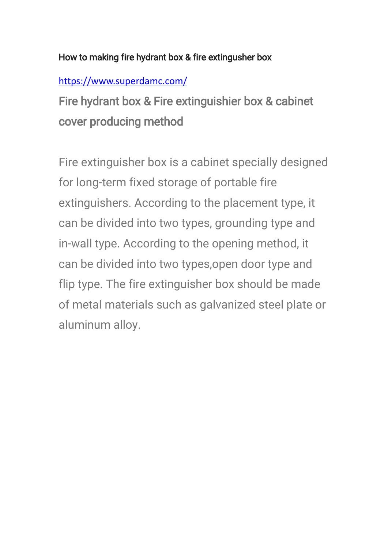#### How to making fire hydrant box & fire extingusher box

### <https://www.superdamc.com/>

Fire hydrant box & Fire extinguishier box & cabinet cover producing method

Fire extinguisher box is a cabinet specially designed for long-term fixed storage of portable fire extinguishers. According to the placement type, it can be divided into two types, grounding type and in-wall type. According to the opening method, it can be divided into two types,open door type and flip type. The fire extinguisher box should be made of metal materials such as galvanized steel plate or aluminum alloy.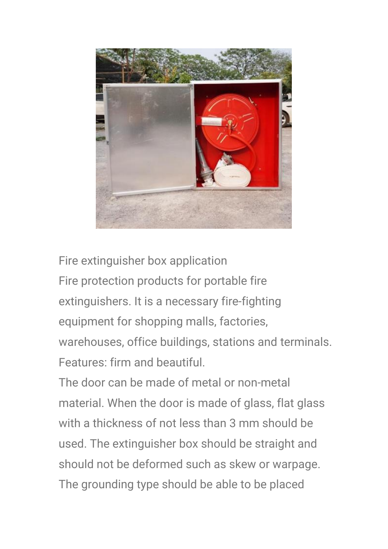

Fire extinguisher box application Fire protection products for portable fire extinguishers. It is a necessary fire-fighting equipment for shopping malls, factories, warehouses, office buildings, stations and terminals. Features: firm and beautiful.

The door can be made of metal or non-metal material. When the door is made of glass, flat glass with a thickness of not less than 3 mm should be used. The extinguisher box should be straight and should not be deformed such as skew or warpage. The grounding type should be able to be placed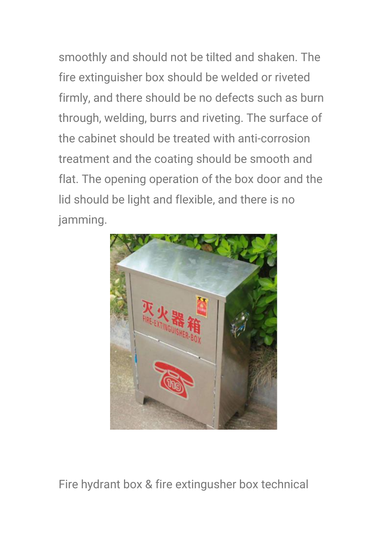smoothly and should not be tilted and shaken. The fire extinguisher box should be welded or riveted firmly, and there should be no defects such as burn through, welding, burrs and riveting. The surface of the cabinet should be treated with anti-corrosion treatment and the coating should be smooth and flat. The opening operation of the box door and the lid should be light and flexible, and there is no jamming.



Fire hydrant box & fire extingusher box technical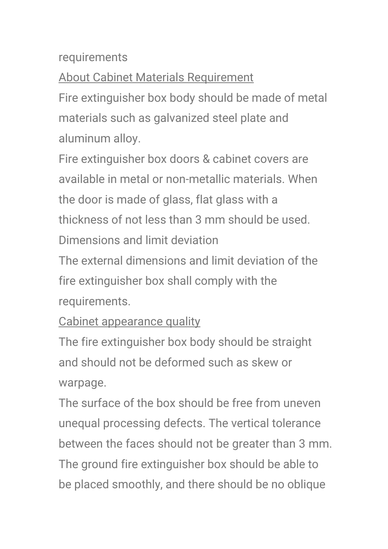### requirements

About Cabinet Materials Requirement

Fire extinguisher box body should be made of metal materials such as galvanized steel plate and aluminum alloy.

Fire extinguisher box doors & cabinet covers are available in metal or non-metallic materials. When the door is made of glass, flat glass with a thickness of not less than 3 mm should be used. Dimensions and limit deviation

The external dimensions and limit deviation of the fire extinguisher box shall comply with the requirements.

## Cabinet appearance quality

The fire extinguisher box body should be straight and should not be deformed such as skew or warpage.

The surface of the box should be free from uneven unequal processing defects. The vertical tolerance between the faces should not be greater than 3 mm. The ground fire extinguisher box should be able to be placed smoothly, and there should be no oblique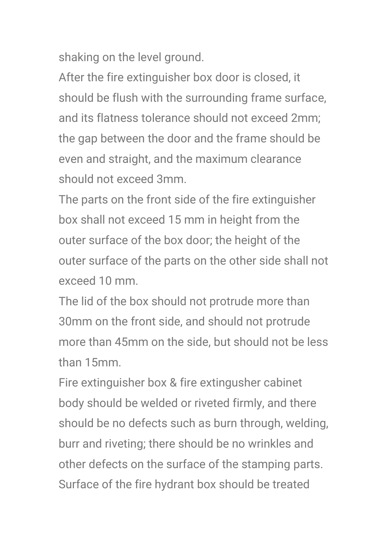shaking on the level ground.

After the fire extinguisher box door is closed, it should be flush with the surrounding frame surface, and its flatness tolerance should not exceed 2mm; the gap between the door and the frame should be even and straight, and the maximum clearance should not exceed 3mm.

The parts on the front side of the fire extinguisher box shall not exceed 15 mm in height from the outer surface of the box door; the height of the outer surface of the parts on the other side shall not exceed 10 mm.

The lid of the box should not protrude more than 30mm on the front side, and should not protrude more than 45mm on the side, but should not be less than 15mm.

Fire extinguisher box & fire extingusher cabinet body should be welded or riveted firmly, and there should be no defects such as burn through, welding, burr and riveting; there should be no wrinkles and other defects on the surface of the stamping parts. Surface of the fire hydrant box should be treated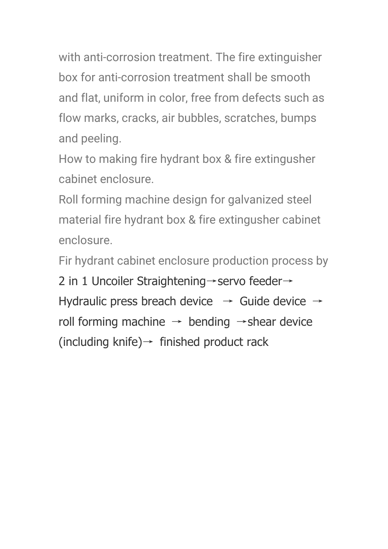with anti-corrosion treatment. The fire extinguisher box for anti-corrosion treatment shall be smooth and flat, uniform in color, free from defects such as flow marks, cracks, air bubbles, scratches, bumps and peeling.

How to making fire hydrant box & fire extingusher cabinet enclosure.

Roll forming machine design for galvanized steel material fire hydrant box & fire extingusher cabinet enclosure.

Fir hydrant cabinet enclosure production process by 2 in 1 Uncoiler Straightening→servo feeder→

Hydraulic press breach device  $\rightarrow$  Guide device  $\rightarrow$ roll forming machine  $\rightarrow$  bending  $\rightarrow$  shear device (including knife) $\rightarrow$  finished product rack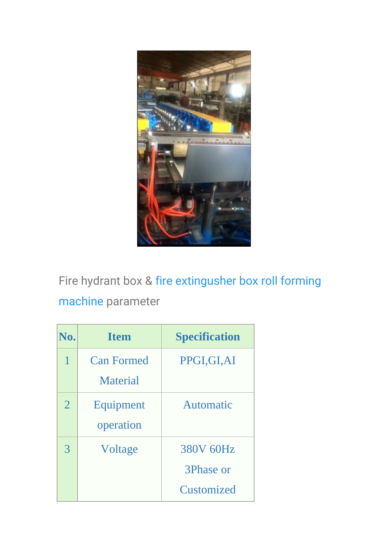

Fire hydrant box & [fire extingusher box roll forming](https://www.superdamc.com/electrical-cabinet-forming-machine/)  [machine](https://www.superdamc.com/electrical-cabinet-forming-machine/) parameter

| No.            | <b>Item</b>       | <b>Specification</b> |
|----------------|-------------------|----------------------|
| 1              | <b>Can Formed</b> | PPGI, GI, AI         |
|                | <b>Material</b>   |                      |
| $\overline{2}$ | Equipment         | Automatic            |
|                | operation         |                      |
| 3              | Voltage           | 380V 60Hz            |
|                |                   | 3Phase or            |
|                |                   | Customized           |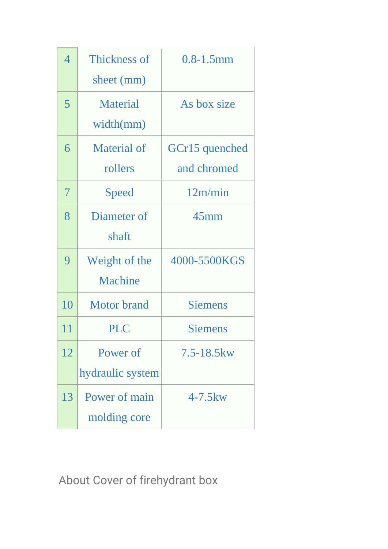| 4  | Thickness of       | $0.8 - 1.5$ mm  |
|----|--------------------|-----------------|
|    | sheet (mm)         |                 |
| 5  | <b>Material</b>    | As box size     |
|    | width(mm)          |                 |
| 6  | Material of        | GCr15 quenched  |
|    | rollers            | and chromed     |
| 7  | Speed              | 12m/min         |
| 8  | Diameter of        | $45$ mm         |
|    | shaft              |                 |
| 9  | Weight of the      | 4000-5500KGS    |
|    | Machine            |                 |
| 10 | <b>Motor</b> brand | <b>Siemens</b>  |
| 11 | <b>PLC</b>         | <b>Siemens</b>  |
| 12 | Power of           | $7.5 - 18.5$ kw |
|    | hydraulic system   |                 |
| 13 | Power of main      | $4-7.5$ kw      |
|    | molding core       |                 |

About Cover of firehydrant box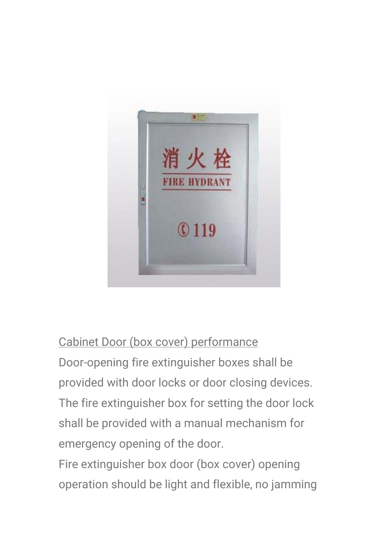

# Cabinet Door (box cover) performance

Door-opening fire extinguisher boxes shall be provided with door locks or door closing devices. The fire extinguisher box for setting the door lock shall be provided with a manual mechanism for emergency opening of the door.

Fire extinguisher box door (box cover) opening operation should be light and flexible, no jamming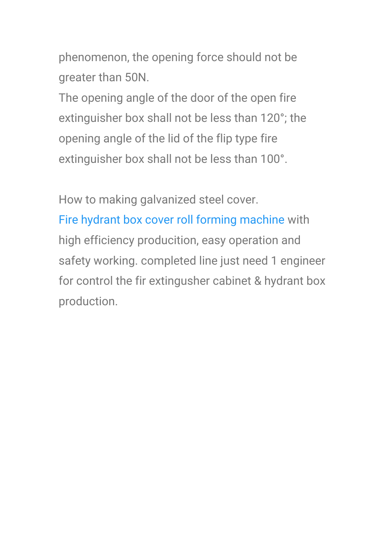phenomenon, the opening force should not be greater than 50N.

The opening angle of the door of the open fire extinguisher box shall not be less than 120°; the opening angle of the lid of the flip type fire extinguisher box shall not be less than 100°.

How to making galvanized steel cover. [Fire hydrant box cover roll forming machine](http://www.superdamc.com/) with high efficiency producition, easy operation and safety working. completed line just need 1 engineer for control the fir extingusher cabinet & hydrant box production.